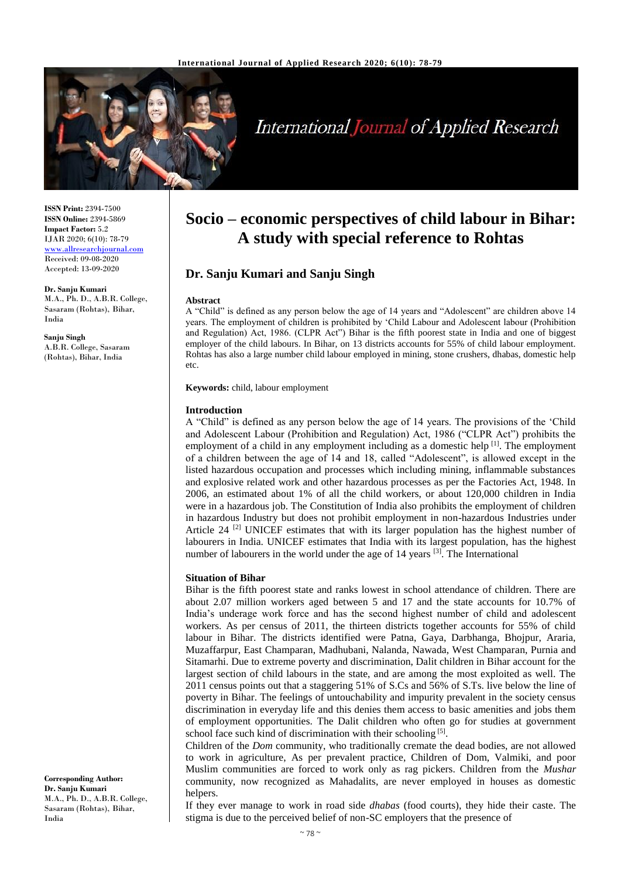

# **International Journal of Applied Research**

**ISSN Print:** 2394-7500 **ISSN Online:** 2394-5869 **Impact Factor:** 5.2 IJAR 2020; 6(10): 78-79 <www.allresearchjournal.com> Received: 09-08-2020 Accepted: 13-09-2020

**Dr. Sanju Kumari**  M.A., Ph. D., A.B.R. College, Sasaram (Rohtas), Bihar, India

**Sanju Singh** A.B.R. College, Sasaram (Rohtas), Bihar, India

#### **Corresponding Author: Dr. Sanju Kumari**  M.A., Ph. D., A.B.R. College, Sasaram (Rohtas), Bihar, India

## **Socio – economic perspectives of child labour in Bihar: A study with special reference to Rohtas**

### **Dr. Sanju Kumari and Sanju Singh**

#### **Abstract**

A "Child" is defined as any person below the age of 14 years and "Adolescent" are children above 14 years. The employment of children is prohibited by 'Child Labour and Adolescent labour (Prohibition and Regulation) Act, 1986. (CLPR Act") Bihar is the fifth poorest state in India and one of biggest employer of the child labours. In Bihar, on 13 districts accounts for 55% of child labour employment. Rohtas has also a large number child labour employed in mining, stone crushers, dhabas, domestic help etc.

**Keywords:** child, labour employment

#### **Introduction**

A "Child" is defined as any person below the age of 14 years. The provisions of the 'Child and Adolescent Labour (Prohibition and Regulation) Act, 1986 ("CLPR Act") prohibits the employment of a child in any employment including as a domestic help <sup>[1]</sup>. The employment of a children between the age of 14 and 18, called "Adolescent", is allowed except in the listed hazardous occupation and processes which including mining, inflammable substances and explosive related work and other hazardous processes as per the Factories Act, 1948. In 2006, an estimated about 1% of all the child workers, or about 120,000 children in India were in a hazardous job. The Constitution of India also prohibits the employment of children in hazardous Industry but does not prohibit employment in non-hazardous Industries under Article 24  $^{[2]}$  UNICEF estimates that with its larger population has the highest number of labourers in India. UNICEF estimates that India with its largest population, has the highest number of labourers in the world under the age of 14 years <sup>[3]</sup>. The International

#### **Situation of Bihar**

Bihar is the fifth poorest state and ranks lowest in school attendance of children. There are about 2.07 million workers aged between 5 and 17 and the state accounts for 10.7% of India's underage work force and has the second highest number of child and adolescent workers. As per census of 2011, the thirteen districts together accounts for 55% of child labour in Bihar. The districts identified were Patna, Gaya, Darbhanga, Bhojpur, Araria, Muzaffarpur, East Champaran, Madhubani, Nalanda, Nawada, West Champaran, Purnia and Sitamarhi. Due to extreme poverty and discrimination, Dalit children in Bihar account for the largest section of child labours in the state, and are among the most exploited as well. The 2011 census points out that a staggering 51% of S.Cs and 56% of S.Ts. live below the line of poverty in Bihar. The feelings of untouchability and impurity prevalent in the society census discrimination in everyday life and this denies them access to basic amenities and jobs them of employment opportunities. The Dalit children who often go for studies at government school face such kind of discrimination with their schooling [5].

Children of the *Dom* community, who traditionally cremate the dead bodies, are not allowed to work in agriculture, As per prevalent practice, Children of Dom, Valmiki, and poor Muslim communities are forced to work only as rag pickers. Children from the *Mushar* community, now recognized as Mahadalits, are never employed in houses as domestic helpers.

If they ever manage to work in road side *dhabas* (food courts), they hide their caste. The stigma is due to the perceived belief of non-SC employers that the presence of